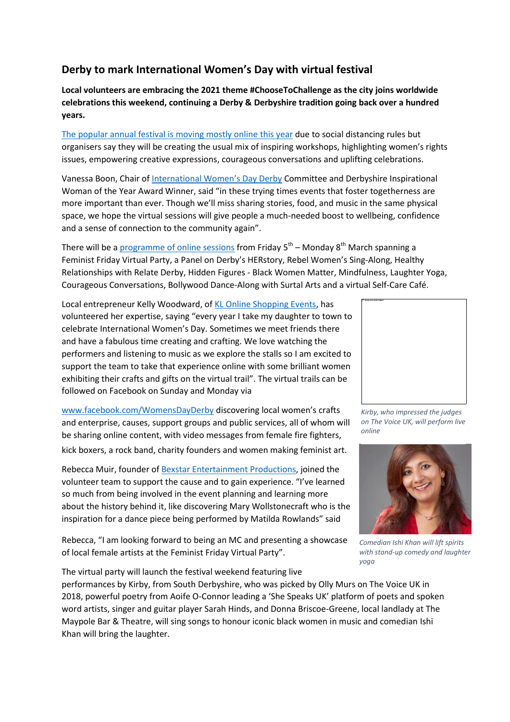# **Derby to mark International Women's Day with virtual festival**

**Local volunteers are embracing the 2021 theme #ChooseToChallenge as the city joins worldwide celebrations this weekend, continuing a Derby & Derbyshire tradition going back over a hundred years.** 

[The popular annual festival is moving mostly online this year](https://iwdderby.eventbrite.co.uk/) due to social distancing rules but organisers say they will be creating the usual mix of inspiring workshops, highlighting women's rights issues, empowering creative expressions, courageous conversations and uplifting celebrations.

Vanessa Boon, Chair of [International Women's Day Derby](https://womensdayderby.wordpress.com/) Committee and Derbyshire Inspirational Woman of the Year Award Winner, said "in these trying times events that foster togetherness are more important than ever. Though we'll miss sharing stories, food, and music in the same physical space, we hope the virtual sessions will give people a much-needed boost to wellbeing, confidence and a sense of connection to the community again".

There will be a <u>programme of online sessions</u> from Friday 5<sup>th</sup> – Monday 8<sup>th</sup> March spanning a Feminist Friday Virtual Party, a Panel on Derby's HERstory, Rebel Women's Sing-Along, Healthy Relationships with Relate Derby, Hidden Figures - Black Women Matter, Mindfulness, Laughter Yoga, Courageous Conversations, Bollywood Dance-Along with Surtal Arts and a virtual Self-Care Café.

Local entrepreneur Kelly Woodward, o[f KL Online Shopping Events,](https://klonlineshoppingevents.co.uk/) has volunteered her expertise, saying "every year I take my daughter to town to celebrate International Women's Day. Sometimes we meet friends there and have a fabulous time creating and crafting. We love watching the performers and listening to music as we explore the stalls so I am excited to support the team to take that experience online with some brilliant women exhibiting their crafts and gifts on the virtual trail". The virtual trails can be followed on Facebook on Sunday and Monday via

[www.facebook.com/WomensDayDerby](http://www.facebook.com/WomensDayDerby) discovering local women's crafts and enterprise, causes, support groups and public services, all of whom will be sharing online content, with video messages from female fire fighters,

kick boxers, a rock band, charity founders and women making feminist art.

Rebecca Muir, founder of Bexstar [Entertainment Productions,](https://www.facebook.com/BexstarEntertainmentProductions) joined the volunteer team to support the cause and to gain experience. "I've learned so much from being involved in the event planning and learning more about the history behind it, like discovering Mary Wollstonecraft who is the inspiration for a dance piece being performed by Matilda Rowlands" said

Rebecca, "I am looking forward to being an MC and presenting a showcase of local female artists at the Feminist Friday Virtual Party".

The virtual party will launch the festival weekend featuring live





*Kirby, who impressed the judges on The Voice UK, will perform live online*



*Comedian Ishi Khan will lift spirits with stand-up comedy and laughter yoga*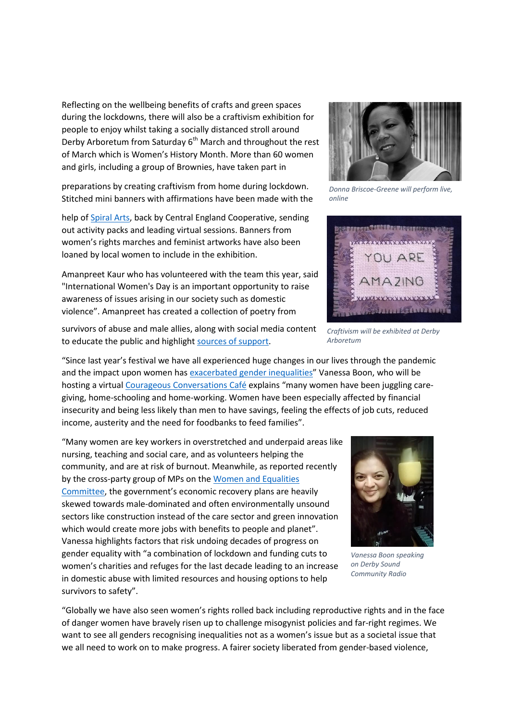Reflecting on the wellbeing benefits of crafts and green spaces during the lockdowns, there will also be a craftivism exhibition for people to enjoy whilst taking a socially distanced stroll around Derby Arboretum from Saturday  $6<sup>th</sup>$  March and throughout the rest of March which is Women's History Month. More than 60 women and girls, including a group of Brownies, have taken part in

preparations by creating craftivism from home during lockdown. Stitched mini banners with affirmations have been made with the

help o[f Spiral Arts,](https://www.facebook.com/spiralderby/) back by Central England Cooperative, sending out activity packs and leading virtual sessions. Banners from women's rights marches and feminist artworks have also been loaned by local women to include in the exhibition.

Amanpreet Kaur who has volunteered with the team this year, said "International Women's Day is an important opportunity to raise awareness of issues arising in our society such as domestic violence". Amanpreet has created a collection of poetry from



"Since last year's festival we have all experienced huge changes in our lives through the pandemic and the impact upon women ha[s exacerbated gender inequalities](https://wbg.org.uk/media/womens-budget-group-response-to-the-women-and-equalities-select-committee-report-coronavirus-and-the-gendered-economic-impact/)" Vanessa Boon, who will be hosting a virtua[l Courageous Conversations Café](https://iwd2021-derby-courageousconversations.eventbrite.co.uk/) explains "many women have been juggling caregiving, home-schooling and home-working. Women have been especially affected by financial insecurity and being less likely than men to have savings, feeling the effects of job cuts, reduced income, austerity and the need for foodbanks to feed families".

"Many women are key workers in overstretched and underpaid areas like nursing, teaching and social care, and as volunteers helping the community, and are at risk of burnout. Meanwhile, as reported recently by the cross-party group of MPs on the [Women and Equalities](https://www.personneltoday.com/hr/pandemic-policies-ignored-and-exacerbated-gender-inequality/)  [Committee,](https://www.personneltoday.com/hr/pandemic-policies-ignored-and-exacerbated-gender-inequality/) the government's economic recovery plans are heavily skewed towards male-dominated and often environmentally unsound sectors like construction instead of the care sector and green innovation which would create more jobs with benefits to people and planet". Vanessa highlights factors that risk undoing decades of progress on gender equality with "a combination of lockdown and funding cuts to women's charities and refuges for the last decade leading to an increase in domestic abuse with limited resources and housing options to help survivors to safety".



*Vanessa Boon speaking on Derby Sound Community Radio*

"Globally we have also seen women's rights rolled back including reproductive rights and in the face of danger women have bravely risen up to challenge misogynist policies and far-right regimes. We want to see all genders recognising inequalities not as a women's issue but as a societal issue that we all need to work on to make progress. A fairer society liberated from gender-based violence,



*Donna Briscoe-Greene will perform live, online*



*Craftivism will be exhibited at Derby Arboretum*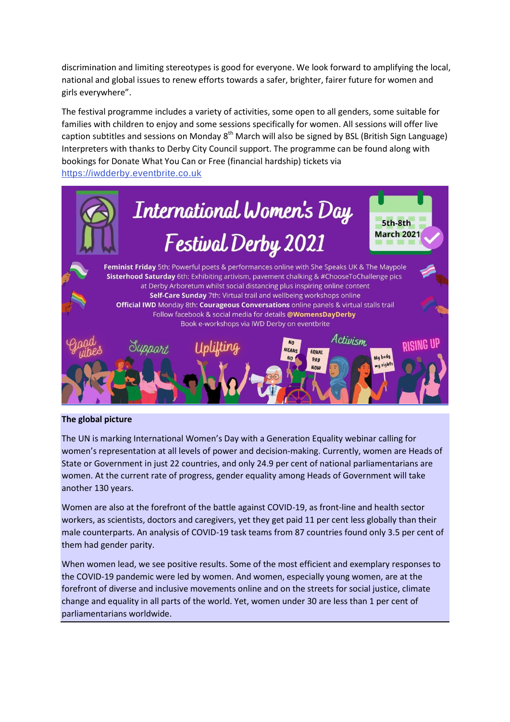discrimination and limiting stereotypes is good for everyone. We look forward to amplifying the local, national and global issues to renew efforts towards a safer, brighter, fairer future for women and girls everywhere".

The festival programme includes a variety of activities, some open to all genders, some suitable for families with children to enjoy and some sessions specifically for women. All sessions will offer live caption subtitles and sessions on Monday 8<sup>th</sup> March will also be signed by BSL (British Sign Language) Interpreters with thanks to Derby City Council support. The programme can be found along with bookings for Donate What You Can or Free (financial hardship) tickets via [https://iwdderby.eventbrite.co.uk](https://iwdderby.eventbrite.co.uk/)



## **The global picture**

The UN is marking International Women's Day with a Generation Equality webinar calling for women's representation at all levels of power and decision-making. Currently, women are Heads of State or Government in just 22 countries, and only 24.9 per cent of national parliamentarians are women. At the current rate of progress, gender equality among Heads of Government will take another 130 years.

Women are also at the forefront of the battle against COVID-19, as front-line and health sector workers, as scientists, doctors and caregivers, yet [they get paid 11 per cent less globally than their](https://www.unwomen.org/en/digital-library/publications/2020/09/gender-equality-in-the-wake-of-covid-19)  [male counterparts.](https://www.unwomen.org/en/digital-library/publications/2020/09/gender-equality-in-the-wake-of-covid-19) An analysis of COVID-19 task teams from 87 countries found only 3.5 per cent of them had gender parity.

When women lead, we see positive results. Some of the most efficient and exemplary responses to the COVID-19 pandemic were led by women. And women, especially young women, are at the forefront of diverse and inclusive movements online and on the streets for social justice, climate change and equality in all parts of the world. Yet, women under 30 are less than 1 per cent of parliamentarians worldwide.